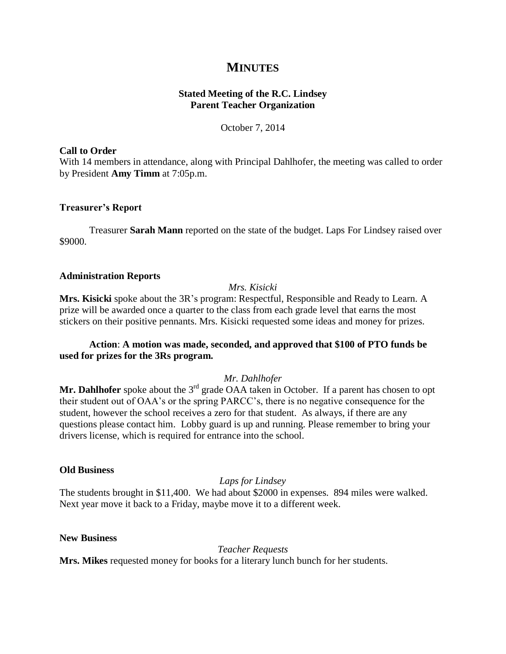# **MINUTES**

# **Stated Meeting of the R.C. Lindsey Parent Teacher Organization**

October 7, 2014

## **Call to Order**

With 14 members in attendance, along with Principal Dahlhofer, the meeting was called to order by President **Amy Timm** at 7:05p.m.

# **Treasurer's Report**

Treasurer **Sarah Mann** reported on the state of the budget. Laps For Lindsey raised over \$9000.

## **Administration Reports**

# *Mrs. Kisicki*

**Mrs. Kisicki** spoke about the 3R's program: Respectful, Responsible and Ready to Learn. A prize will be awarded once a quarter to the class from each grade level that earns the most stickers on their positive pennants. Mrs. Kisicki requested some ideas and money for prizes.

# **Action**: **A motion was made, seconded, and approved that \$100 of PTO funds be used for prizes for the 3Rs program.**

# *Mr. Dahlhofer*

Mr. Dahlhofer spoke about the 3<sup>rd</sup> grade OAA taken in October. If a parent has chosen to opt their student out of OAA's or the spring PARCC's, there is no negative consequence for the student, however the school receives a zero for that student. As always, if there are any questions please contact him. Lobby guard is up and running. Please remember to bring your drivers license, which is required for entrance into the school.

## **Old Business**

*Laps for Lindsey*

The students brought in \$11,400. We had about \$2000 in expenses. 894 miles were walked. Next year move it back to a Friday, maybe move it to a different week.

## **New Business**

*Teacher Requests*

**Mrs. Mikes** requested money for books for a literary lunch bunch for her students.